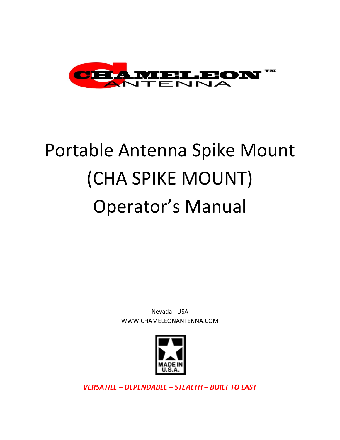

# Portable Antenna Spike Mount (CHA SPIKE MOUNT) Operator's Manual

Nevada - USA WWW.CHAMELEONANTENNA.COM



*VERSATILE – DEPENDABLE – STEALTH – BUILT TO LAST*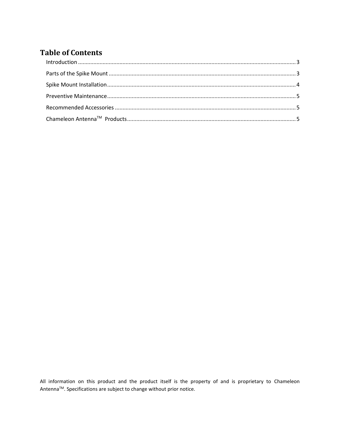## **Table of Contents**

All information on this product and the product itself is the property of and is proprietary to Chameleon Antenna™. Specifications are subject to change without prior notice.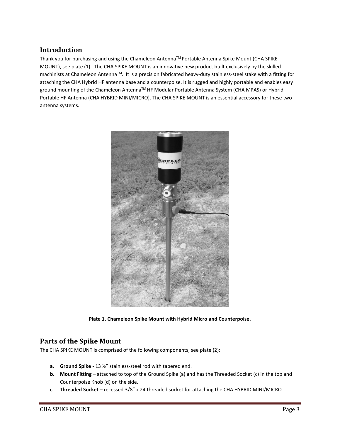## <span id="page-2-0"></span>**Introduction**

Thank you for purchasing and using the Chameleon AntennaTM Portable Antenna Spike Mount (CHA SPIKE MOUNT), see plate (1). The CHA SPIKE MOUNT is an innovative new product built exclusively by the skilled machinists at Chameleon AntennaTM. It is a precision fabricated heavy-duty stainless-steel stake with a fitting for attaching the CHA Hybrid HF antenna base and a counterpoise. It is rugged and highly portable and enables easy ground mounting of the Chameleon Antenna<sup>™</sup> HF Modular Portable Antenna System (CHA MPAS) or Hybrid Portable HF Antenna (CHA HYBRID MINI/MICRO). The CHA SPIKE MOUNT is an essential accessory for these two antenna systems.



**Plate 1. Chameleon Spike Mount with Hybrid Micro and Counterpoise.**

## <span id="page-2-1"></span>**Parts of the Spike Mount**

The CHA SPIKE MOUNT is comprised of the following components, see plate (2):

- **a. Ground Spike** 13 ½" stainless-steel rod with tapered end.
- **b. Mount Fitting** attached to top of the Ground Spike (a) and has the Threaded Socket (c) in the top and Counterpoise Knob (d) on the side.
- **c. Threaded Socket** recessed 3/8" x 24 threaded socket for attaching the CHA HYBRID MINI/MICRO.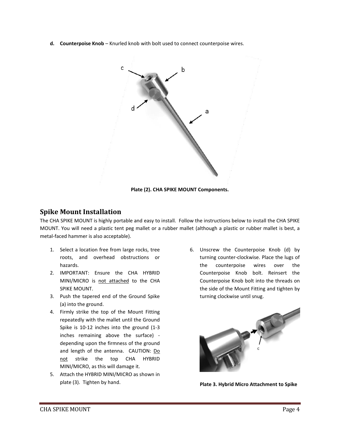**d. Counterpoise Knob** – Knurled knob with bolt used to connect counterpoise wires.



#### **Plate (2). CHA SPIKE MOUNT Components.**

## <span id="page-3-0"></span>**Spike Mount Installation**

The CHA SPIKE MOUNT is highly portable and easy to install. Follow the instructions below to install the CHA SPIKE MOUNT. You will need a plastic tent peg mallet or a rubber mallet (although a plastic or rubber mallet is best, a metal-faced hammer is also acceptable).

- 1. Select a location free from large rocks, tree roots, and overhead obstructions or hazards.
- 2. IMPORTANT: Ensure the CHA HYBRID MINI/MICRO is not attached to the CHA SPIKE MOUNT.
- 3. Push the tapered end of the Ground Spike (a) into the ground.
- 4. Firmly strike the top of the Mount Fitting repeatedly with the mallet until the Ground Spike is 10-12 inches into the ground (1-3 inches remaining above the surface) depending upon the firmness of the ground and length of the antenna. CAUTION: Do not strike the top CHA HYBRID MINI/MICRO, as this will damage it.
- 5. Attach the HYBRID MINI/MICRO as shown in plate (3). Tighten by hand.

6. Unscrew the Counterpoise Knob (d) by turning counter-clockwise. Place the lugs of the counterpoise wires over the Counterpoise Knob bolt. Reinsert the Counterpoise Knob bolt into the threads on the side of the Mount Fitting and tighten by turning clockwise until snug.



**Plate 3. Hybrid Micro Attachment to Spike**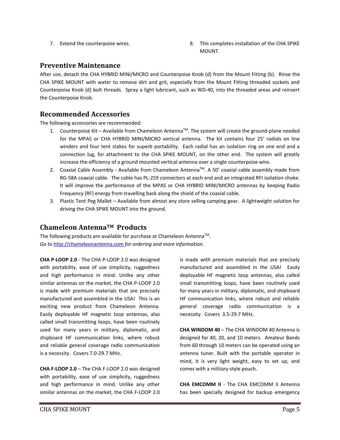- 
- 7. Extend the counterpoise wires. 8. This completes installation of the CHA SPIKE MOUNT.

### <span id="page-4-0"></span>**Preventive Maintenance**

After use, detach the CHA HYBRID MINI/MICRO and Counterpoise Knob (d) from the Mount Fitting (b). Rinse the CHA SPIKE MOUNT with water to remove dirt and grit, especially from the Mount Fitting threaded sockets and Counterpoise Knob (d) bolt threads. Spray a light lubricant, such as WD-40, into the threaded areas and reinsert the Counterpoise Knob.

## <span id="page-4-1"></span>**Recommended Accessories**

The following accessories are recommended:

- 1. Counterpoise Kit Available from Chameleon AntennaTM. The system will create the ground-plane needed for the MPAS or CHA HYBRID MINI/MICRO vertical antenna. The kit contains four 25' radials on line winders and four tent stakes for superb portability. Each radial has an isolation ring on one end and a connection lug, for attachment to the CHA SPIKE MOUNT, on the other end. The system will greatly increase the efficiency of a ground mounted vertical antenna over a single counterpoise wire.
- 2. Coaxial Cable Assembly Available from Chameleon Antenna<sup>TM</sup>. A 50' coaxial cable assembly made from RG-58A coaxial cable. The cable has PL-259 connectors at each end and an integrated RFI isolation choke. It will improve the performance of the MPAS or CHA HYBRID MINI/MICRO antennas by keeping Radio Frequency (RF) energy from travelling back along the shield of the coaxial cable.
- 3. Plastic Tent Peg Mallet Available from almost any store selling camping gear. A lightweight solution for driving the CHA SPIKE MOUNT into the ground.

## <span id="page-4-2"></span>**Chameleon AntennaTM Products**

The following products are available for purchase at Chameleon Antenna<sup>TM</sup>. *Go to* [http://chameleonantenna.com](http://chameleonantenna.com/) *for ordering and more information.*

**CHA P-LOOP 2.0** - The CHA P-LOOP 2.0 was designed with portability, ease of use simplicity, ruggedness and high performance in mind. Unlike any other similar antennas on the market, the CHA P-LOOP 2.0 is made with premium materials that are precisely manufactured and assembled in the USA! This is an exciting new product from Chameleon Antenna. Easily deployable HF magnetic loop antennas, also called small transmitting loops, have been routinely used for many years in military, diplomatic, and shipboard HF communication links, where robust and reliable general coverage radio communication is a necessity. Covers 7.0-29.7 MHz.

**CHA F-LOOP 2.0** – The CHA F-LOOP 2.0 was designed with portability, ease of use simplicity, ruggedness and high performance in mind. Unlike any other similar antennas on the market, the CHA F-LOOP 2.0 is made with premium materials that are precisely manufactured and assembled in the USA! Easily deployable HF magnetic loop antennas, also called small transmitting loops, have been routinely used for many years in military, diplomatic, and shipboard HF communication links, where robust and reliable general coverage radio communication is a necessity. Covers 3.5-29.7 MHz.

**CHA WINDOM 40** – The CHA WINDOM 40 Antenna is designed for 40, 20, and 10 meters. Amateur Bands from 60 through 10 meters can be operated using an antenna tuner. Built with the portable operator in mind, it is very light weight, easy to set up, and comes with a military-style pouch.

**CHA EMCOMM II** - The CHA EMCOMM II Antenna has been specially designed for backup emergency